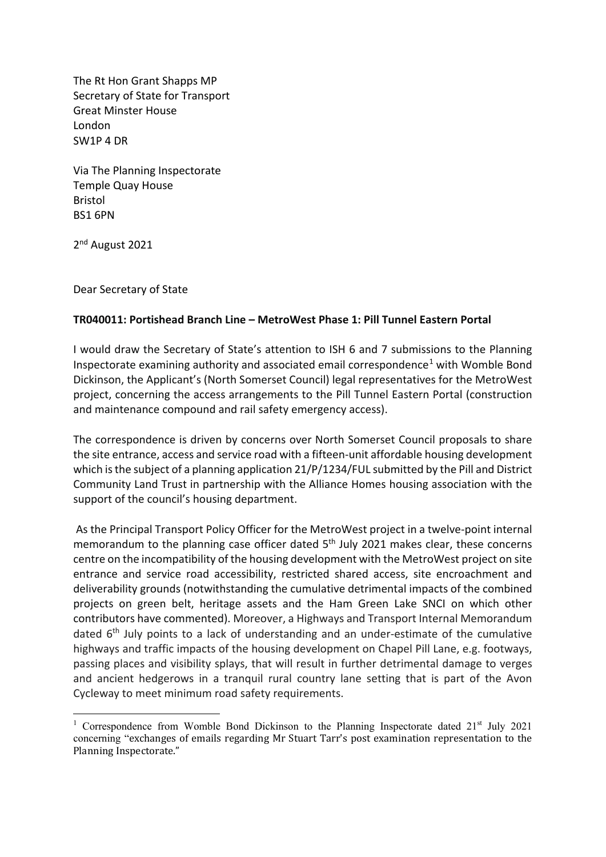The Rt Hon Grant Shapps MP Secretary of State for Transport Great Minster House London SW1P 4 DR

Via The Planning Inspectorate Temple Quay House Bristol BS1 6PN

2nd August 2021

Dear Secretary of State

## **TR040011: Portishead Branch Line – MetroWest Phase 1: Pill Tunnel Eastern Portal**

I would draw the Secretary of State's attention to ISH 6 and 7 submissions to the Planning Inspectorate examining authority and associated email correspondence<sup>1</sup> with Womble Bond Dickinson, the Applicant's (North Somerset Council) legal representatives for the MetroWest project, concerning the access arrangements to the Pill Tunnel Eastern Portal (construction and maintenance compound and rail safety emergency access).

The correspondence is driven by concerns over North Somerset Council proposals to share the site entrance, access and service road with a fifteen-unit affordable housing development which is the subject of a planning application 21/P/1234/FUL submitted by the Pill and District Community Land Trust in partnership with the Alliance Homes housing association with the support of the council's housing department.

As the Principal Transport Policy Officer for the MetroWest project in a twelve-point internal memorandum to the planning case officer dated  $5<sup>th</sup>$  July 2021 makes clear, these concerns centre on the incompatibility of the housing development with the MetroWest project on site entrance and service road accessibility, restricted shared access, site encroachment and deliverability grounds (notwithstanding the cumulative detrimental impacts of the combined projects on green belt, heritage assets and the Ham Green Lake SNCI on which other contributors have commented). Moreover, a Highways and Transport Internal Memorandum dated  $6<sup>th</sup>$  July points to a lack of understanding and an under-estimate of the cumulative highways and traffic impacts of the housing development on Chapel Pill Lane, e.g. footways, passing places and visibility splays, that will result in further detrimental damage to verges and ancient hedgerows in a tranquil rural country lane setting that is part of the Avon Cycleway to meet minimum road safety requirements.

<sup>&</sup>lt;sup>1</sup> Correspondence from Womble Bond Dickinson to the Planning Inspectorate dated  $21<sup>st</sup>$  July 2021 concerning "exchanges of emails regarding Mr Stuart Tarr's post examination representation to the Planning Inspectorate."